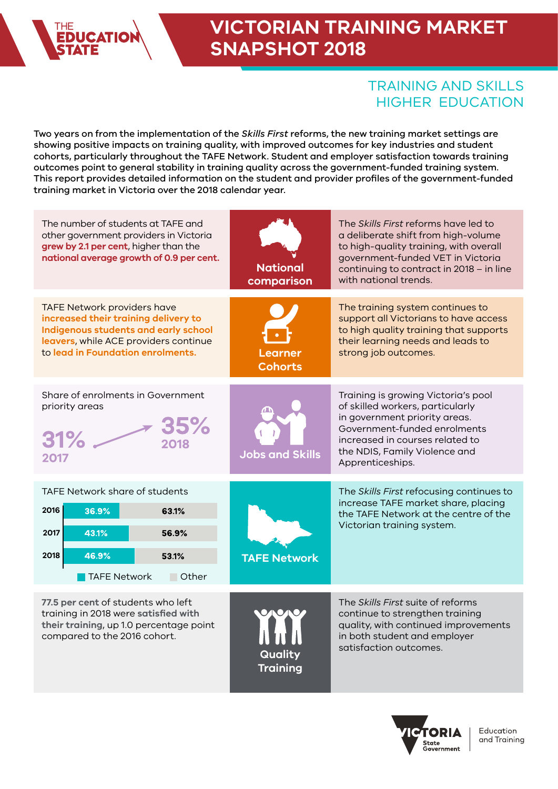

### **VICTORIAN TRAINING MARKET SNAPSHOT 2018**

### TRAINING AND SKILLS HIGHER EDUCATION

Two years on from the implementation of the *Skills First* reforms, the new training market settings are showing positive impacts on training quality, with improved outcomes for key industries and student cohorts, particularly throughout the TAFE Network. Student and employer satisfaction towards training outcomes point to general stability in training quality across the government-funded training system. This report provides detailed information on the student and provider profiles of the government-funded training market in Victoria over the 2018 calendar year.

| The number of students at TAFE and<br>other government providers in Victoria<br>grew by 2.1 per cent, higher than the<br>national average growth of 0.9 per cent.                                | <b>National</b><br>comparison | The <i>Skills First</i> reforms have led to<br>a deliberate shift from high-volume<br>to high-quality training, with overall<br>government-funded VET in Victoria<br>continuing to contract in 2018 - in line<br>with national trends. |
|--------------------------------------------------------------------------------------------------------------------------------------------------------------------------------------------------|-------------------------------|----------------------------------------------------------------------------------------------------------------------------------------------------------------------------------------------------------------------------------------|
| <b>TAFE Network providers have</b><br>increased their training delivery to<br>Indigenous students and early school<br>leavers, while ACE providers continue<br>to lead in Foundation enrolments. | Learner<br><b>Cohorts</b>     | The training system continues to<br>support all Victorians to have access<br>to high quality training that supports<br>their learning needs and leads to<br>strong job outcomes.                                                       |
| Share of enrolments in Government<br>priority areas<br>2018<br>2017                                                                                                                              | Jobs and Skills               | Training is growing Victoria's pool<br>of skilled workers, particularly<br>in government priority areas.<br>Government-funded enrolments<br>increased in courses related to<br>the NDIS, Family Violence and<br>Apprenticeships.       |
| TAFE Network share of students<br>2016<br>36.9%<br>63.1%<br>2017<br>43.1%<br>56.9%<br>2018<br>46.9%<br>53.1%<br>TAFE Network<br>■ Other                                                          | <b>TAFE Network</b>           | The Skills First refocusing continues to<br>increase TAFE market share, placing<br>the TAFE Network at the centre of the<br>Victorian training system.                                                                                 |
| 77.5 per cent of students who left<br>training in 2018 were satisfied with<br>their training, up 1.0 percentage point<br>compared to the 2016 cohort.                                            | Quality<br><b>Training</b>    | The Skills First suite of reforms<br>continue to strengthen training<br>quality, with continued improvements<br>in both student and employer<br>satisfaction outcomes.                                                                 |

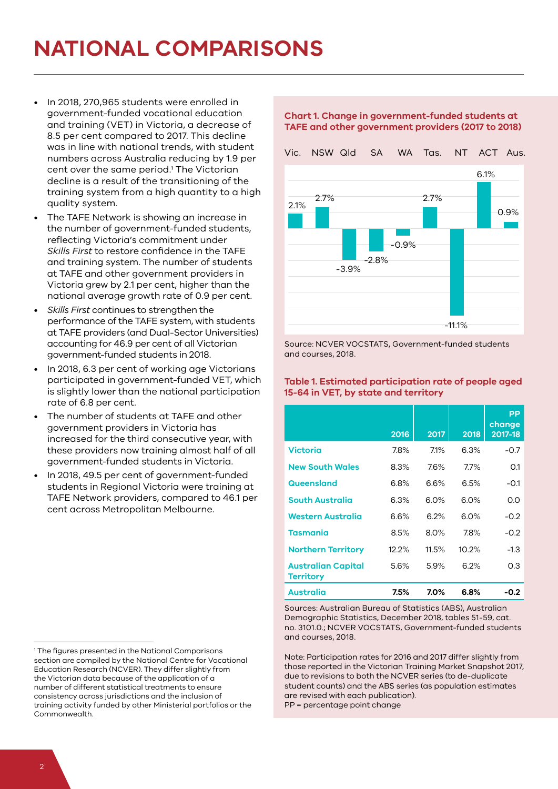# **NATIONAL COMPARISONS**

- In 2018, 270,965 students were enrolled in government-funded vocational education and training (VET) in Victoria, a decrease of 8.5 per cent compared to 2017. This decline was in line with national trends, with student numbers across Australia reducing by 1.9 per cent over the same period.<sup>1</sup> The Victorian decline is a result of the transitioning of the training system from a high quantity to a high quality system.
- The TAFE Network is showing an increase in the number of government-funded students, reflecting Victoria's commitment under *Skills First* to restore confidence in the TAFE and training system. The number of students at TAFE and other government providers in Victoria grew by 2.1 per cent, higher than the national average growth rate of 0.9 per cent.
- *Skills First* continues to strengthen the performance of the TAFE system, with students at TAFE providers (and Dual-Sector Universities) accounting for 46.9 per cent of all Victorian government-funded students in 2018.
- In 2018, 6.3 per cent of working age Victorians participated in government-funded VET, which is slightly lower than the national participation rate of 6.8 per cent.
- The number of students at TAFE and other government providers in Victoria has increased for the third consecutive year, with these providers now training almost half of all government-funded students in Victoria.
- In 2018, 49.5 per cent of government-funded students in Regional Victoria were training at TAFE Network providers, compared to 46.1 per cent across Metropolitan Melbourne.

#### **Chart 1. Change in government-funded students at TAFE and other government providers (2017 to 2018)**



Source: NCVER VOCSTATS, Government-funded students and courses, 2018.

#### **Table 1. Estimated participation rate of people aged 15-64 in VET, by state and territory**

|                                               | 2016     | 2017  | 2018     | <b>PP</b><br>change<br>2017-18 |
|-----------------------------------------------|----------|-------|----------|--------------------------------|
| <b>Victoria</b>                               | 7.8%     | 71%   | 6.3%     | $-0.7$                         |
| <b>New South Wales</b>                        | 8.3%     | 7.6%  | $7.7\%$  | 0.1                            |
| Queensland                                    | 6.8%     | 6.6%  | 6.5%     | $-0.1$                         |
| <b>South Australia</b>                        | 6.3%     | 6.0%  | 6.0%     | 0.0                            |
| Western Australia                             | 6.6%     | 6.2%  | 6.0%     | $-0.2$                         |
| <b>Tasmania</b>                               | 8.5%     | 8.0%  | 7.8%     | $-0.2$                         |
| <b>Northern Territory</b>                     | $12.2\%$ | 11.5% | $10.2\%$ | $-1.3$                         |
| <b>Australian Capital</b><br><b>Territory</b> | 5.6%     | 5.9%  | 6.2%     | 0.3                            |
| Australia                                     | 7.5%     | 7.0%  | 6.8%     | $-0.2$                         |

Sources: Australian Bureau of Statistics (ABS), Australian Demographic Statistics, December 2018, tables 51-59, cat. no. 3101.0.; NCVER VOCSTATS, Government-funded students and courses, 2018.

Note: Participation rates for 2016 and 2017 differ slightly from those reported in the Victorian Training Market Snapshot 2017, due to revisions to both the NCVER series (to de-duplicate student counts) and the ABS series (as population estimates are revised with each publication). PP = percentage point change

<sup>1</sup> The figures presented in the National Comparisons section are compiled by the National Centre for Vocational Education Research (NCVER). They differ slightly from the Victorian data because of the application of a number of different statistical treatments to ensure consistency across jurisdictions and the inclusion of training activity funded by other Ministerial portfolios or the Commonwealth.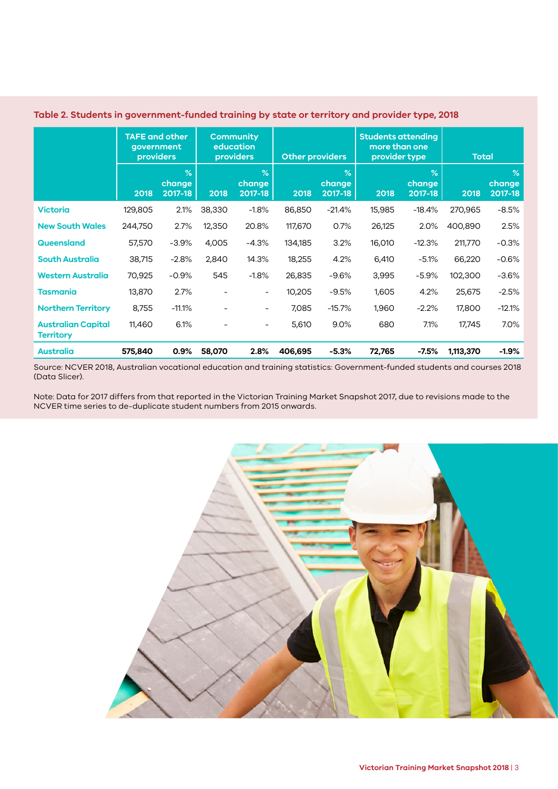|                                               | <b>TAFE and other</b><br>government<br>providers |                                    |                          | <b>Community</b><br>education<br><b>providers</b> | <b>Other providers</b> |                                    | <b>Students attending</b><br>more than one<br>provider type |                                               | <b>Total</b> |                                    |
|-----------------------------------------------|--------------------------------------------------|------------------------------------|--------------------------|---------------------------------------------------|------------------------|------------------------------------|-------------------------------------------------------------|-----------------------------------------------|--------------|------------------------------------|
|                                               | 2018                                             | $\frac{9}{6}$<br>change<br>2017-18 | 2018                     | $\%$<br>change<br>2017-18                         | 2018                   | $\frac{9}{6}$<br>change<br>2017-18 | 2018                                                        | $\overline{\mathcal{A}}$<br>change<br>2017-18 | 2018         | $\frac{9}{6}$<br>change<br>2017-18 |
| <b>Victoria</b>                               | 129,805                                          | 2.1%                               | 38,330                   | $-1.8%$                                           | 86,850                 | $-21.4%$                           | 15,985                                                      | $-18.4%$                                      | 270,965      | $-8.5%$                            |
| <b>New South Wales</b>                        | 244,750                                          | 2.7%                               | 12,350                   | 20.8%                                             | 117,670                | 0.7%                               | 26,125                                                      | 2.0%                                          | 400,890      | 2.5%                               |
| Queensland                                    | 57,570                                           | $-3.9%$                            | 4,005                    | $-4.3%$                                           | 134,185                | 3.2%                               | 16,010                                                      | $-12.3%$                                      | 211,770      | $-0.3%$                            |
| <b>South Australia</b>                        | 38,715                                           | $-2.8%$                            | 2,840                    | 14.3%                                             | 18,255                 | 4.2%                               | 6,410                                                       | $-5.1%$                                       | 66,220       | $-0.6%$                            |
| <b>Western Australia</b>                      | 70,925                                           | $-0.9%$                            | 545                      | $-1.8%$                                           | 26,835                 | $-9.6%$                            | 3,995                                                       | $-5.9%$                                       | 102,300      | $-3.6%$                            |
| Tasmania                                      | 13,870                                           | 2.7%                               |                          | $\overline{\phantom{a}}$                          | 10,205                 | $-9.5%$                            | 1,605                                                       | 4.2%                                          | 25,675       | $-2.5%$                            |
| <b>Northern Territory</b>                     | 8,755                                            | $-11.1%$                           |                          | $\overline{\phantom{a}}$                          | 7,085                  | $-15.7%$                           | 1,960                                                       | $-2.2%$                                       | 17,800       | $-12.1%$                           |
| <b>Australian Capital</b><br><b>Territory</b> | 11,460                                           | 6.1%                               | $\overline{\phantom{a}}$ | $\overline{\phantom{a}}$                          | 5,610                  | 9.0%                               | 680                                                         | 7.1%                                          | 17,745       | 7.0%                               |
| <b>Australia</b>                              | 575,840                                          | 0.9%                               | 58,070                   | 2.8%                                              | 406,695                | $-5.3%$                            | 72,765                                                      | $-7.5%$                                       | 1,113,370    | $-1.9%$                            |

#### **Table 2. Students in government-funded training by state or territory and provider type, 2018**

Source: NCVER 2018, Australian vocational education and training statistics: Government-funded students and courses 2018 (Data Slicer).

Note: Data for 2017 differs from that reported in the Victorian Training Market Snapshot 2017, due to revisions made to the NCVER time series to de-duplicate student numbers from 2015 onwards.

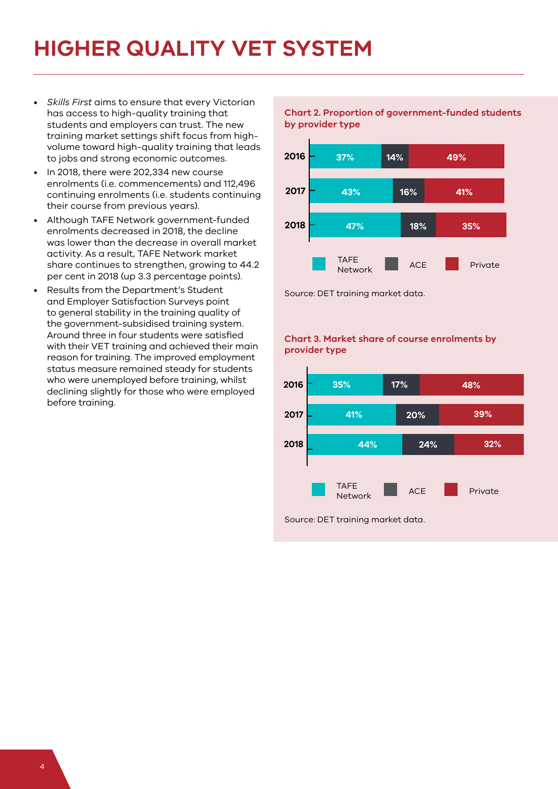### **HIGHER QUALITY VET SYSTEM**

- *Skills First* aims to ensure that every Victorian has access to high-quality training that students and employers can trust. The new training market settings shift focus from highvolume toward high-quality training that leads to jobs and strong economic outcomes.
- In 2018, there were 202,334 new course enrolments (i.e. commencements) and 112,496 continuing enrolments (i.e. students continuing their course from previous years).
- Although TAFE Network government-funded enrolments decreased in 2018, the decline was lower than the decrease in overall market activity. As a result, TAFE Network market share continues to strengthen, growing to 44.2 per cent in 2018 (up 3.3 percentage points).
- Results from the Department's Student and Employer Satisfaction Surveys point to general stability in the training quality of the government-subsidised training system. Around three in four students were satisfied with their VET training and achieved their main reason for training. The improved employment status measure remained steady for students who were unemployed before training, whilst declining slightly for those who were employed before training.

**Chart 2. Proportion of government-funded students by provider type**



Source: DET training market data.

#### **Chart 3. Market share of course enrolments by provider type**



Source: DET training market data.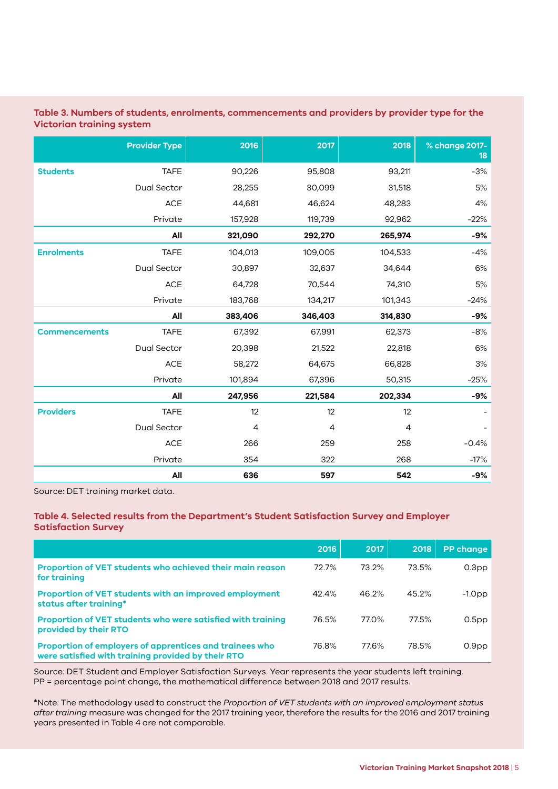#### **Table 3. Numbers of students, enrolments, commencements and providers by provider type for the Victorian training system**

|                      | <b>Provider Type</b> | 2016    | 2017    | 2018           | % change 2017-<br>18 |
|----------------------|----------------------|---------|---------|----------------|----------------------|
| <b>Students</b>      | <b>TAFE</b>          | 90,226  | 95,808  | 93,211         | $-3%$                |
|                      | Dual Sector          | 28,255  | 30,099  | 31,518         | 5%                   |
|                      | $\mathsf{ACE}$       | 44,681  | 46,624  | 48,283         | 4%                   |
|                      | Private              | 157,928 | 119,739 | 92,962         | $-22%$               |
|                      | All                  | 321,090 | 292,270 | 265,974        | $-9%$                |
| <b>Enrolments</b>    | <b>TAFE</b>          | 104,013 | 109,005 | 104,533        | $-4%$                |
|                      | Dual Sector          | 30,897  | 32,637  | 34,644         | 6%                   |
|                      | ACE                  | 64,728  | 70,544  | 74,310         | $5%$                 |
|                      | Private              | 183,768 | 134,217 | 101,343        | $-24%$               |
|                      | All                  | 383,406 | 346,403 | 314,830        | $-9%$                |
| <b>Commencements</b> | <b>TAFE</b>          | 67,392  | 67,991  | 62,373         | $-8%$                |
|                      | Dual Sector          | 20,398  | 21,522  | 22,818         | $6\%$                |
|                      | ACE                  | 58,272  | 64,675  | 66,828         | 3%                   |
|                      | Private              | 101,894 | 67,396  | 50,315         | $-25%$               |
|                      | All                  | 247,956 | 221,584 | 202,334        | $-9%$                |
| <b>Providers</b>     | <b>TAFE</b>          | 12      | 12      | 12             |                      |
|                      | Dual Sector          | 4       | 4       | $\overline{4}$ |                      |
|                      | <b>ACE</b>           | 266     | 259     | 258            | $-0.4%$              |
|                      | Private              | 354     | 322     | 268            | $-17%$               |
|                      | All                  | 636     | 597     | 542            | -9%                  |

Source: DET training market data.

#### **Table 4. Selected results from the Department's Student Satisfaction Survey and Employer Satisfaction Survey**

|                                                                                                               | 2016     | 2017  | 2018  | <b>PP change</b>  |
|---------------------------------------------------------------------------------------------------------------|----------|-------|-------|-------------------|
| Proportion of VET students who achieved their main reason<br>for training                                     | 72.7%    | 73.2% | 73.5% | 0.3 <sub>pp</sub> |
| Proportion of VET students with an improved employment<br>status after training*                              | $42.4\%$ | 46.2% | 45.2% | $-1.0$ pp         |
| Proportion of VET students who were satisfied with training<br>provided by their RTO                          | 76.5%    | 77.0% | 77.5% | 0.5 <sub>pp</sub> |
| Proportion of employers of apprentices and trainees who<br>were satisfied with training provided by their RTO | 76.8%    | 77.6% | 78.5% | 0.9 <sub>pp</sub> |

Source: DET Student and Employer Satisfaction Surveys. Year represents the year students left training. PP = percentage point change, the mathematical difference between 2018 and 2017 results.

\*Note: The methodology used to construct the *Proportion of VET students with an improved employment status after training* measure was changed for the 2017 training year, therefore the results for the 2016 and 2017 training years presented in Table 4 are not comparable.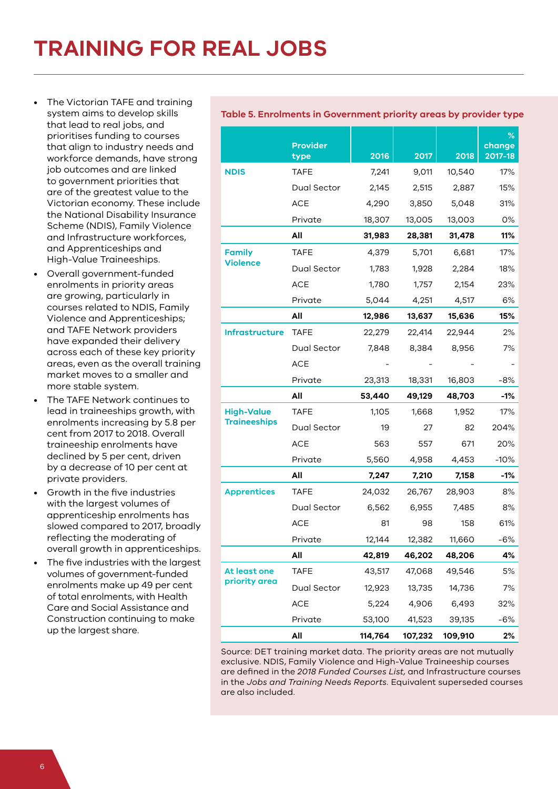- The Victorian TAFE and training system aims to develop skills that lead to real jobs, and prioritises funding to courses that align to industry needs and workforce demands, have strong job outcomes and are linked to government priorities that are of the greatest value to the Victorian economy. These include the National Disability Insurance Scheme (NDIS), Family Violence and Infrastructure workforces, and Apprenticeships and High-Value Traineeships.
- Overall government-funded enrolments in priority areas are growing, particularly in courses related to NDIS, Family Violence and Apprenticeships; and TAFE Network providers have expanded their delivery across each of these key priority areas, even as the overall training market moves to a smaller and more stable system.
- The TAFE Network continues to lead in traineeships growth, with enrolments increasing by 5.8 per cent from 2017 to 2018. Overall traineeship enrolments have declined by 5 per cent, driven by a decrease of 10 per cent at private providers.
- Growth in the five industries with the largest volumes of apprenticeship enrolments has slowed compared to 2017, broadly reflecting the moderating of overall growth in apprenticeships.
- The five industries with the largest volumes of government-funded enrolments make up 49 per cent of total enrolments, with Health Care and Social Assistance and Construction continuing to make up the largest share.

#### **Table 5. Enrolments in Government priority areas by provider type**

|                       | <b>Provider</b><br>type | 2016    | 2017    | 2018    | $\%$<br>change<br>2017-18 |
|-----------------------|-------------------------|---------|---------|---------|---------------------------|
| <b>NDIS</b>           | <b>TAFE</b>             | 7,241   | 9,011   | 10,540  | 17%                       |
|                       | Dual Sector             | 2,145   | 2,515   | 2,887   | 15%                       |
|                       | <b>ACE</b>              | 4,290   | 3,850   | 5,048   | 31%                       |
|                       | Private                 | 18,307  | 13,005  | 13,003  | 0%                        |
|                       | All                     | 31,983  | 28,381  | 31,478  | 11%                       |
| <b>Family</b>         | <b>TAFE</b>             | 4,379   | 5,701   | 6,681   | 17%                       |
| <b>Violence</b>       | Dual Sector             | 1,783   | 1,928   | 2,284   | 18%                       |
|                       | <b>ACE</b>              | 1,780   | 1,757   | 2,154   | 23%                       |
|                       | Private                 | 5,044   | 4,251   | 4,517   | 6%                        |
|                       | All                     | 12,986  | 13,637  | 15,636  | 15%                       |
| <b>Infrastructure</b> | <b>TAFE</b>             | 22,279  | 22,414  | 22,944  | 2%                        |
|                       | Dual Sector             | 7,848   | 8,384   | 8,956   | 7%                        |
|                       | <b>ACE</b>              |         |         |         |                           |
|                       | Private                 | 23,313  | 18,331  | 16,803  | -8%                       |
|                       | All                     | 53,440  | 49,129  | 48,703  | $-1%$                     |
| <b>High-Value</b>     | <b>TAFE</b>             | 1,105   | 1,668   | 1,952   | 17%                       |
| <b>Traineeships</b>   | Dual Sector             | 19      | 27      | 82      | 204%                      |
|                       | <b>ACE</b>              | 563     | 557     | 671     | 20%                       |
|                       | Private                 | 5,560   | 4,958   | 4,453   | $-10%$                    |
|                       | All                     | 7,247   | 7,210   | 7,158   | $-1%$                     |
| <b>Apprentices</b>    | <b>TAFE</b>             | 24,032  | 26,767  | 28,903  | 8%                        |
|                       | Dual Sector             | 6,562   | 6,955   | 7,485   | 8%                        |
|                       | <b>ACE</b>              | 81      | 98      | 158     | 61%                       |
|                       | Private                 | 12,144  | 12,382  | 11,660  | -6%                       |
|                       | All                     | 42,819  | 46,202  | 48,206  | 4%                        |
| At least one          | <b>TAFE</b>             | 43,517  | 47,068  | 49,546  | 5%                        |
| priority area         | Dual Sector             | 12,923  | 13,735  | 14,736  | 7%                        |
|                       | <b>ACE</b>              | 5,224   | 4,906   | 6,493   | 32%                       |
|                       | Private                 | 53,100  | 41,523  | 39,135  | $-6%$                     |
|                       | All                     | 114,764 | 107,232 | 109,910 | 2%                        |

Source: DET training market data. The priority areas are not mutually exclusive. NDIS, Family Violence and High-Value Traineeship courses are defined in the *2018 Funded Courses List,* and Infrastructure courses in the *Jobs and Training Needs Reports.* Equivalent superseded courses are also included.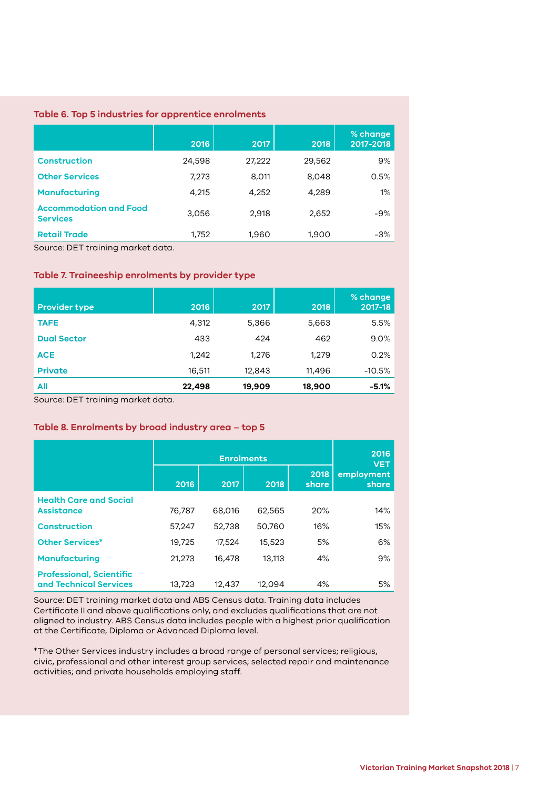#### **Table 6. Top 5 industries for apprentice enrolments**

|                                                  | 2016   | 2017   | 2018   | % change<br>2017-2018 |
|--------------------------------------------------|--------|--------|--------|-----------------------|
| <b>Construction</b>                              | 24,598 | 27,222 | 29,562 | 9%                    |
| <b>Other Services</b>                            | 7,273  | 8,011  | 8,048  | 0.5%                  |
| <b>Manufacturing</b>                             | 4,215  | 4,252  | 4,289  | 1%                    |
| <b>Accommodation and Food</b><br><b>Services</b> | 3,056  | 2,918  | 2,652  | $-9%$                 |
| <b>Retail Trade</b>                              | 1,752  | 1,960  | 1,900  | $-3%$                 |

Source: DET training market data.

#### **Table 7. Traineeship enrolments by provider type**

| <b>Provider type</b> | 2016   | 2017   | 2018   | % change<br>2017-18 |
|----------------------|--------|--------|--------|---------------------|
| <b>TAFE</b>          | 4,312  | 5,366  | 5,663  | 5.5%                |
| <b>Dual Sector</b>   | 433    | 424    | 462    | 9.0%                |
| <b>ACE</b>           | 1,242  | 1,276  | 1,279  | 0.2%                |
| <b>Private</b>       | 16,511 | 12,843 | 11,496 | $-10.5%$            |
| All                  | 22,498 | 19,909 | 18,900 | $-5.1%$             |

Source: DET training market data.

#### **Table 8. Enrolments by broad industry area – top 5**

|                                                           |        | 2016<br><b>VET</b> |        |               |                     |
|-----------------------------------------------------------|--------|--------------------|--------|---------------|---------------------|
|                                                           | 2016   | 2017               | 2018   | 2018<br>share | employment<br>share |
| <b>Health Care and Social</b><br><b>Assistance</b>        | 76,787 | 68,016             | 62,565 | 20%           | 14%                 |
| <b>Construction</b>                                       | 57,247 | 52,738             | 50,760 | 16%           | 15%                 |
| <b>Other Services*</b>                                    | 19,725 | 17,524             | 15,523 | 5%            | 6%                  |
| <b>Manufacturing</b>                                      | 21,273 | 16,478             | 13,113 | 4%            | 9%                  |
| <b>Professional, Scientific</b><br>and Technical Services | 13,723 | 12,437             | 12,094 | 4%            | 5%                  |

Source: DET training market data and ABS Census data. Training data includes Certificate II and above qualifications only, and excludes qualifications that are not aligned to industry. ABS Census data includes people with a highest prior qualification at the Certificate, Diploma or Advanced Diploma level.

\*The Other Services industry includes a broad range of personal services; religious, civic, professional and other interest group services; selected repair and maintenance activities; and private households employing staff.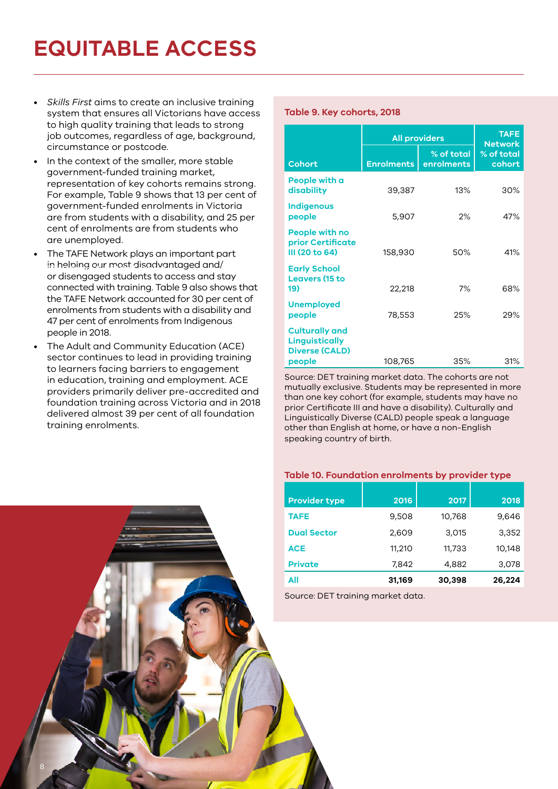# **EQUITABLE ACCESS**

- *Skills First* aims to create an inclusive training system that ensures all Victorians have access to high quality training that leads to strong job outcomes, regardless of age, background, circumstance or postcode.
- In the context of the smaller, more stable government-funded training market, representation of key cohorts remains strong. For example, Table 9 shows that 13 per cent of government-funded enrolments in Victoria are from students with a disability, and 25 per cent of enrolments are from students who are unemployed.
- The TAFE Network plays an important part in helping our most disadvantaged and/ or disengaged students to access and stay connected with training. Table 9 also shows that the TAFE Network accounted for 30 per cent of enrolments from students with a disability and 47 per cent of enrolments from Indigenous people in 2018.
- The Adult and Community Education (ACE) sector continues to lead in providing training to learners facing barriers to engagement in education, training and employment. ACE providers primarily deliver pre-accredited and foundation training across Victoria and in 2018 delivered almost 39 per cent of all foundation training enrolments.

#### **Table 9. Key cohorts, 2018**

|                                                                                   | <b>All providers</b> | <b>TAFE</b><br><b>Network</b> |                      |
|-----------------------------------------------------------------------------------|----------------------|-------------------------------|----------------------|
| <b>Cohort</b>                                                                     | <b>Enrolments</b>    | % of total<br>enrolments      | % of total<br>cohort |
| People with a<br>disability                                                       | 39,387               | 13%                           | 30%                  |
| <b>Indigenous</b><br>people                                                       | 5,907                | 2%                            | 47%                  |
| People with no<br><b>prior Certificate</b><br>III (20 to 64)                      | 158,930              | 50%                           | 41%                  |
| <b>Early School</b><br><b>Leavers (15 to</b><br>19)                               | 22,218               | 7%                            | 68%                  |
| <b>Unemployed</b><br>people                                                       | 78,553               | 25%                           | 29%                  |
| <b>Culturally and</b><br><b>Linguistically</b><br><b>Diverse (CALD)</b><br>people | 108,765              | 35%                           | 31%                  |

Source: DET training market data. The cohorts are not mutually exclusive. Students may be represented in more than one key cohort (for example, students may have no prior Certificate III and have a disability). Culturally and Linguistically Diverse (CALD) people speak a language other than English at home, or have a non-English speaking country of birth.

#### **Table 10. Foundation enrolments by provider type**

| <b>Provider type</b> | 2016   | 2017   | 2018   |
|----------------------|--------|--------|--------|
|                      |        |        |        |
| <b>TAFE</b>          | 9,508  | 10,768 | 9,646  |
| <b>Dual Sector</b>   | 2,609  | 3,015  | 3,352  |
| <b>ACE</b>           | 11,210 | 11,733 | 10.148 |
| <b>Private</b>       | 7,842  | 4,882  | 3,078  |
| All                  | 31,169 | 30,398 | 26,224 |

Source: DET training market data.